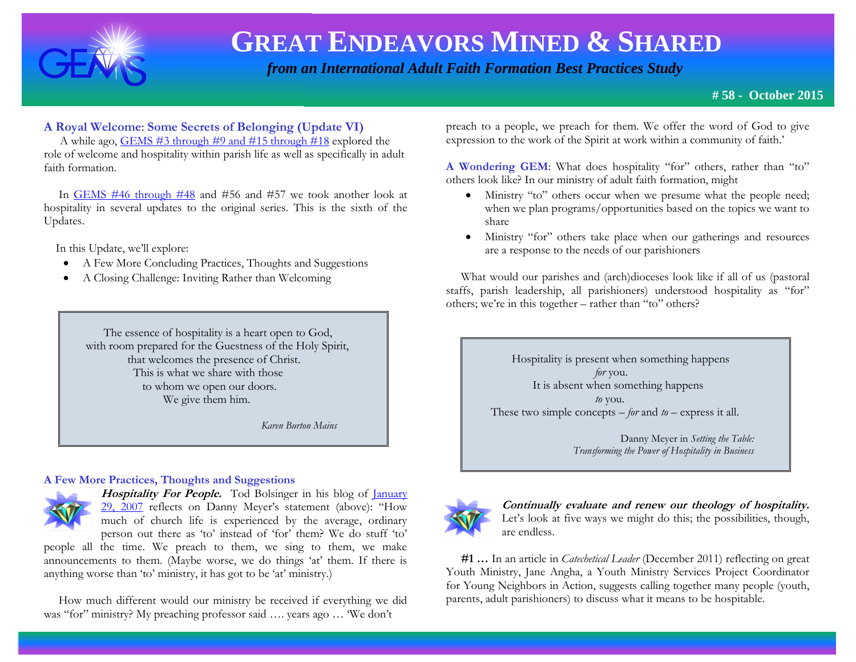

 *from an International Adult Faith Formation Best Practices Study*

### **A Royal Welcome**: **Some Secrets of Belonging (Update VI)**

 A while ago, [GEMS #3 through #9 and #15 through #18](http://www.janetschaeffler.com/Best-Practices.html) explored the role of welcome and hospitality within parish life as well as specifically in adult faith formation.

 In [GEMS #46 through #48](http://www.janetschaeffler.com/Best-Practices.html) and #56 and #57 we took another look at hospitality in several updates to the original series. This is the sixth of the Updates.

In this Update, we'll explore:

- A Few More Concluding Practices, Thoughts and Suggestions
- A Closing Challenge: Inviting Rather than Welcoming

 The essence of hospitality is a heart open to God, with room prepared for the Guestness of the Holy Spirit, that welcomes the presence of Christ. This is what we share with those to whom we open our doors. We give them him.

 *Karen Burton Mains* 

#### **A Few More Practices, Thoughts and Suggestions**



**Hospitality For People.** Tod Bolsinger in his blog of *January* [29, 2007](http://bolsinger.blogs.com/weblog/hospitality/) reflects on Danny Meyer's statement (above): "How much of church life is experienced by the average, ordinary person out there as 'to' instead of 'for' them? We do stuff 'to'

people all the time. We preach to them, we sing to them, we make announcements to them. (Maybe worse, we do things 'at' them. If there is anything worse than 'to' ministry, it has got to be 'at' ministry.)

 How much different would our ministry be received if everything we did was "for" ministry? My preaching professor said …. years ago … 'We don't

preach to a people, we preach for them. We offer the word of God to give expression to the work of the Spirit at work within a community of faith.'

**A Wondering GEM**: What does hospitality "for" others, rather than "to" others look like? In our ministry of adult faith formation, might

- Ministry "to" others occur when we presume what the people need; when we plan programs/opportunities based on the topics we want to share
- Ministry "for" others take place when our gatherings and resources are a response to the needs of our parishioners

 What would our parishes and (arch)dioceses look like if all of us (pastoral staffs, parish leadership, all parishioners) understood hospitality as "for" others; we're in this together – rather than "to" others?

> Hospitality is present when something happens  *for* you. It is absent when something happens  *to* you. These two simple concepts – *for* and *to –* express it all.

> > Danny Meyer in *Setting the Table: Transforming the Power of Hospitality in Business*



**Continually evaluate and renew our theology of hospitality.**  Let's look at five ways we might do this; the possibilities, though, are endless.

 **#1 …** In an article in *Catechetical Leader* (December 2011) reflecting on great Youth Ministry, Jane Angha, a Youth Ministry Services Project Coordinator for Young Neighbors in Action, suggests calling together many people (youth, parents, adult parishioners) to discuss what it means to be hospitable.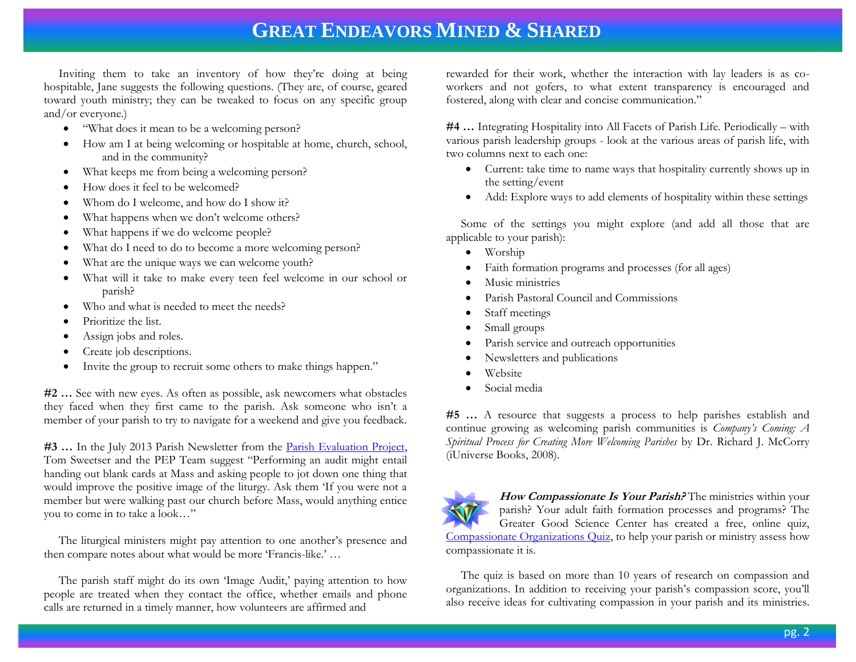Inviting them to take an inventory of how they're doing at being hospitable, Jane suggests the following questions. (They are, of course, geared toward youth ministry; they can be tweaked to focus on any specific group and/or everyone.)

- "What does it mean to be a welcoming person?
- How am I at being welcoming or hospitable at home, church, school, and in the community?
- What keeps me from being a welcoming person?
- How does it feel to be welcomed?
- Whom do I welcome, and how do I show it?
- What happens when we don't welcome others?
- What happens if we do welcome people?
- What do I need to do to become a more welcoming person?
- What are the unique ways we can welcome youth?
- What will it take to make every teen feel welcome in our school or parish?
- Who and what is needed to meet the needs?
- Prioritize the list.
- Assign jobs and roles.
- Create job descriptions.
- Invite the group to recruit some others to make things happen."

**#2 …** See with new eyes. As often as possible, ask newcomers what obstacles they faced when they first came to the parish. Ask someone who isn't a member of your parish to try to navigate for a weekend and give you feedback.

**#3 …** In the July 2013 Parish Newsletter from the [Parish Evaluation Project,](http://www.pepparish.org/) Tom Sweetser and the PEP Team suggest "Performing an audit might entail handing out blank cards at Mass and asking people to jot down one thing that would improve the positive image of the liturgy. Ask them 'If you were not a member but were walking past our church before Mass, would anything entice you to come in to take a look…"

 The liturgical ministers might pay attention to one another's presence and then compare notes about what would be more 'Francis-like.' …

 The parish staff might do its own 'Image Audit,' paying attention to how people are treated when they contact the office, whether emails and phone calls are returned in a timely manner, how volunteers are affirmed and

rewarded for their work, whether the interaction with lay leaders is as coworkers and not gofers, to what extent transparency is encouraged and fostered, along with clear and concise communication."

**#4 …** Integrating Hospitality into All Facets of Parish Life. Periodically – with various parish leadership groups - look at the various areas of parish life, with two columns next to each one:

- Current: take time to name ways that hospitality currently shows up in the setting/event
- Add: Explore ways to add elements of hospitality within these settings

 Some of the settings you might explore (and add all those that are applicable to your parish):

- Worship
- Faith formation programs and processes (for all ages)
- Music ministries
- Parish Pastoral Council and Commissions
- Staff meetings
- Small groups
- Parish service and outreach opportunities
- Newsletters and publications
- Website
- Social media

**#5 …** A resource that suggests a process to help parishes establish and continue growing as welcoming parish communities is *Company's Coming: A Spiritual Process for Creating More Welcoming Parishes* by Dr. Richard J. McCorry (iUniverse Books, 2008).



**How Compassionate Is Your Parish?** The ministries within your parish? Your adult faith formation processes and programs? The Greater Good Science Center has created a free, online quiz, [Compassionate Organizations Quiz,](http://greatergood.berkeley.edu/quizzes/take_quiz/11) to help your parish or ministry assess how compassionate it is.

 The quiz is based on more than 10 years of research on compassion and organizations. In addition to receiving your parish's compassion score, you'll also receive ideas for cultivating compassion in your parish and its ministries.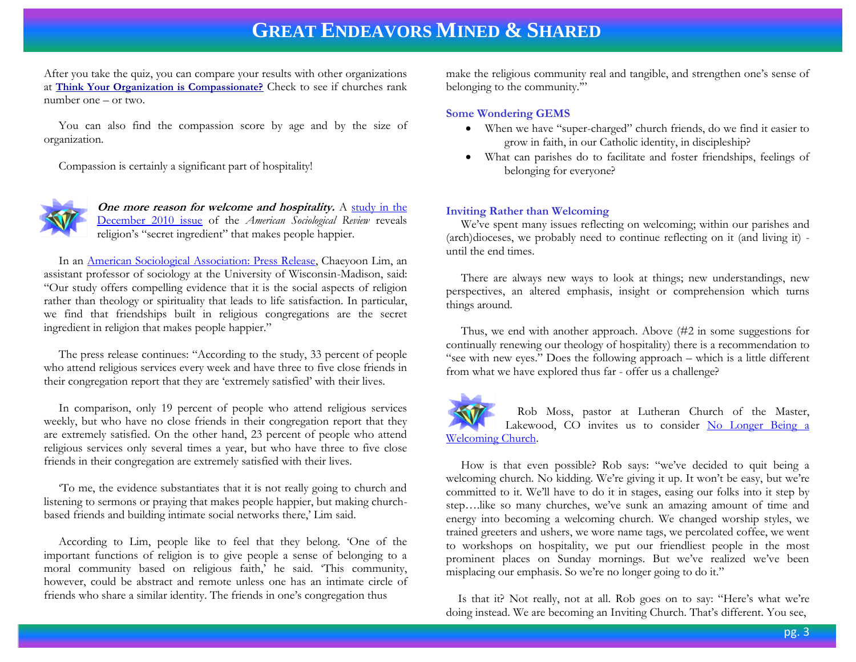After you take the quiz, you can compare your results with other organizations at **[Think Your Organization is Compassionate?](http://greatergood.berkeley.edu/article/item/think_your_organization_is_compassionate)** Check to see if churches rank number one – or two.

 You can also find the compassion score by age and by the size of organization.

Compassion is certainly a significant part of hospitality!



**One more reason for welcome and hospitality.** A study in the [December 2010 issue](http://www.asanet.org/press/Press_Release_Secret_Ingredient_in_Religion_That_Makes_People_Happier.cfm) of the *American Sociological Review* reveals religion's "secret ingredient" that makes people happier.

 In an [American Sociological Association: Press Release,](http://www.asanet.org/press/Press_Release_Secret_Ingredient_in_Religion_That_Makes_People_Happier.cfm) Chaeyoon Lim, an assistant professor of sociology at the University of Wisconsin-Madison, said: "Our study offers compelling evidence that it is the social aspects of religion rather than theology or spirituality that leads to life satisfaction. In particular, we find that friendships built in religious congregations are the secret ingredient in religion that makes people happier."

 The press release continues: "According to the study, 33 percent of people who attend religious services every week and have three to five close friends in their congregation report that they are 'extremely satisfied' with their lives.

 In comparison, only 19 percent of people who attend religious services weekly, but who have no close friends in their congregation report that they are extremely satisfied. On the other hand, 23 percent of people who attend religious services only several times a year, but who have three to five close friends in their congregation are extremely satisfied with their lives.

 'To me, the evidence substantiates that it is not really going to church and listening to sermons or praying that makes people happier, but making churchbased friends and building intimate social networks there,' Lim said.

 According to Lim, people like to feel that they belong. 'One of the important functions of religion is to give people a sense of belonging to a moral community based on religious faith,' he said. 'This community, however, could be abstract and remote unless one has an intimate circle of friends who share a similar identity. The friends in one's congregation thus

make the religious community real and tangible, and strengthen one's sense of belonging to the community.'"

#### **Some Wondering GEMS**

- When we have "super-charged" church friends, do we find it easier to grow in faith, in our Catholic identity, in discipleship?
- What can parishes do to facilitate and foster friendships, feelings of belonging for everyone?

#### **Inviting Rather than Welcoming**

We've spent many issues reflecting on welcoming; within our parishes and (arch)dioceses, we probably need to continue reflecting on it (and living it) until the end times.

 There are always new ways to look at things; new understandings, new perspectives, an altered emphasis, insight or comprehension which turns things around.

 Thus, we end with another approach. Above (#2 in some suggestions for continually renewing our theology of hospitality) there is a recommendation to "see with new eyes." Does the following approach – which is a little different from what we have explored thus far - offer us a challenge?

 Rob Moss, pastor at Lutheran Church of the Master, Lakewood, CO invites us to consider No Longer Being a [Welcoming Church.](http://daelcarev.wordpress.com/2013/03/12/we-will-no-longer-be-a-welcoming-church/?blogsub=confirming#blog_subscription-4)

 How is that even possible? Rob says: "we've decided to quit being a welcoming church. No kidding. We're giving it up. It won't be easy, but we're committed to it. We'll have to do it in stages, easing our folks into it step by step….like so many churches, we've sunk an amazing amount of time and energy into becoming a welcoming church. We changed worship styles, we trained greeters and ushers, we wore name tags, we percolated coffee, we went to workshops on hospitality, we put our friendliest people in the most prominent places on Sunday mornings. But we've realized we've been misplacing our emphasis. So we're no longer going to do it."

 Is that it? Not really, not at all. Rob goes on to say: "Here's what we're doing instead. We are becoming an Inviting Church. That's different. You see,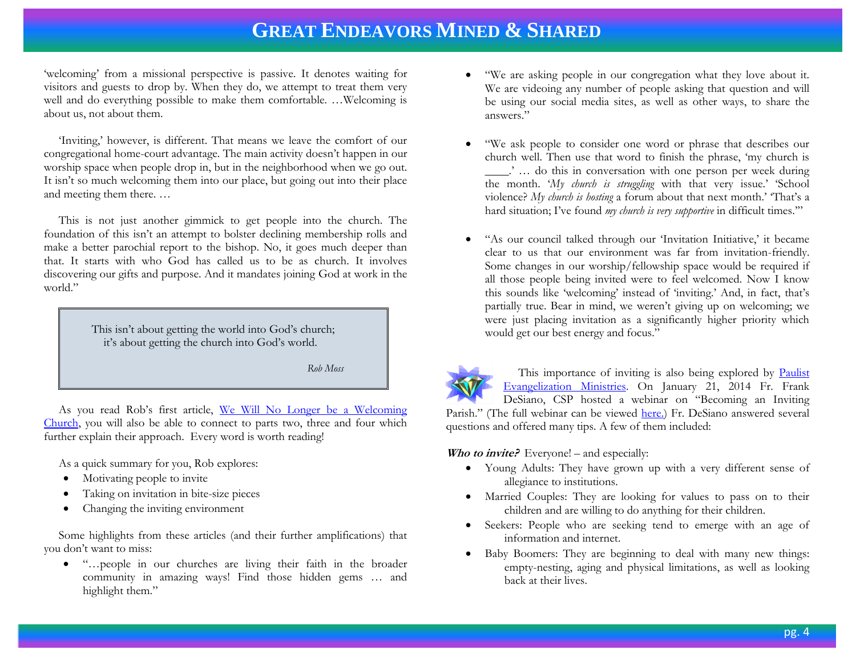'welcoming' from a missional perspective is passive. It denotes waiting for visitors and guests to drop by. When they do, we attempt to treat them very well and do everything possible to make them comfortable. …Welcoming is about us, not about them.

 'Inviting,' however, is different. That means we leave the comfort of our congregational home-court advantage. The main activity doesn't happen in our worship space when people drop in, but in the neighborhood when we go out. It isn't so much welcoming them into our place, but going out into their place and meeting them there. …

 This is not just another gimmick to get people into the church. The foundation of this isn't an attempt to bolster declining membership rolls and make a better parochial report to the bishop. No, it goes much deeper than that. It starts with who God has called us to be as church. It involves discovering our gifts and purpose. And it mandates joining God at work in the world."

> This isn't about getting the world into God's church; it's about getting the church into God's world.

> > *Rob Moss*

 As you read Rob's first article, [We Will No Longer be a Welcoming](http://daelcarev.wordpress.com/2013/03/12/we-will-no-longer-be-a-welcoming-church/?blogsub=confirming&blogsub=confirming#blog_subscription-4)  [Church,](http://daelcarev.wordpress.com/2013/03/12/we-will-no-longer-be-a-welcoming-church/?blogsub=confirming&blogsub=confirming#blog_subscription-4) you will also be able to connect to parts two, three and four which further explain their approach. Every word is worth reading!

As a quick summary for you, Rob explores:

- Motivating people to invite
- Taking on invitation in bite-size pieces
- Changing the inviting environment

 Some highlights from these articles (and their further amplifications) that you don't want to miss:

 "…people in our churches are living their faith in the broader community in amazing ways! Find those hidden gems … and highlight them."

- "We are asking people in our congregation what they love about it. We are videoing any number of people asking that question and will be using our social media sites, as well as other ways, to share the answers."
- "We ask people to consider one word or phrase that describes our church well. Then use that word to finish the phrase, 'my church is \_\_\_\_.' … do this in conversation with one person per week during the month. '*My church is struggling* with that very issue.' 'School violence? *My church is hosting* a forum about that next month.' 'That's a hard situation; I've found *my church is very supportive* in difficult times.'"
- "As our council talked through our 'Invitation Initiative,' it became clear to us that our environment was far from invitation-friendly. Some changes in our worship/fellowship space would be required if all those people being invited were to feel welcomed. Now I know this sounds like 'welcoming' instead of 'inviting.' And, in fact, that's partially true. Bear in mind, we weren't giving up on welcoming; we were just placing invitation as a significantly higher priority which would get our best energy and focus."

This importance of inviting is also being explored by Paulist [Evangelization Ministries.](http://www.pemdc.org/) On January 21, 2014 Fr. Frank DeSiano, CSP hosted a webinar on "Becoming an Inviting Parish." (The full webinar can be viewed [here.\)](http://eventcenter.commpartners.com/se/Meetings/Playback.aspx?meeting.id=617353) Fr. DeSiano answered several questions and offered many tips. A few of them included:

*Who to invite?* Everyone! – and especially:

- Young Adults: They have grown up with a very different sense of allegiance to institutions.
- Married Couples: They are looking for values to pass on to their children and are willing to do anything for their children.
- Seekers: People who are seeking tend to emerge with an age of information and internet.
- Baby Boomers: They are beginning to deal with many new things: empty-nesting, aging and physical limitations, as well as looking back at their lives.